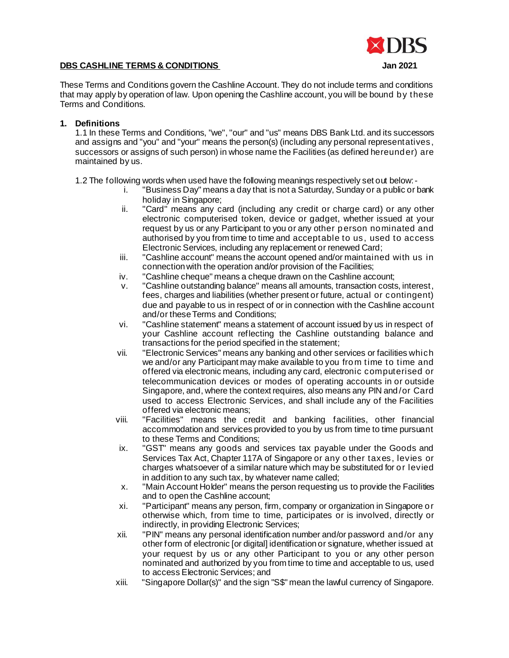# **DBS CASHLINE TERMS & CONDITIONS Jan 2021**



These Terms and Conditions govern the Cashline Account. They do not include terms and conditions that may apply by operation of law. Upon opening the Cashline account, you will be bound by these Terms and Conditions.

## **1. Definitions**

1.1 In these Terms and Conditions, "we", "our" and "us" means DBS Bank Ltd. and its successors and assigns and "you" and "your" means the person(s) (including any personal representatives, successors or assigns of such person) in whose name the Facilities (as defined hereunder) are maintained by us.

1.2 The following words when used have the following meanings respectively set out below:-

- i. "Business Day" means a day that is not a Saturday, Sunday or a public or bank holiday in Singapore;
- ii. "Card" means any card (including any credit or charge card) or any other electronic computerised token, device or gadget, whether issued at your request by us or any Participant to you or any other person nominated and authorised by you from time to time and acceptable to us, used to access Electronic Services, including any replacement or renewed Card;
- iii. "Cashline account" means the account opened and/or maintained with us in connection with the operation and/or provision of the Facilities;
- iv. "Cashline cheque" means a cheque drawn on the Cashline account;
- v. "Cashline outstanding balance" means all amounts, transaction costs, interest, fees, charges and liabilities (whether present or future, actual or contingent) due and payable to us in respect of or in connection with the Cashline account and/or these Terms and Conditions;
- vi. "Cashline statement" means a statement of account issued by us in respect of your Cashline account reflecting the Cashline outstanding balance and transactions for the period specified in the statement;
- vii. "Electronic Services" means any banking and other services or facilities which we and/or any Participant may make available to you from time to time and offered via electronic means, including any card, electronic computerised or telecommunication devices or modes of operating accounts in or outside Singapore, and, where the context requires, also means any PIN and/or Card used to access Electronic Services, and shall include any of the Facilities offered via electronic means;
- viii. "Facilities" means the credit and banking facilities, other financial accommodation and services provided to you by us from time to time pursuant to these Terms and Conditions;
- ix. "GST" means any goods and services tax payable under the Goods and Services Tax Act, Chapter 117A of Singapore or any other taxes, levies or charges whatsoever of a similar nature which may be substituted for or levied in addition to any such tax, by whatever name called;
- x. "Main Account Holder" means the person requesting us to provide the Facilities and to open the Cashline account;
- xi. "Participant" means any person, firm, company or organization in Singapore or otherwise which, from time to time, participates or is involved, directly or indirectly, in providing Electronic Services;
- xii. "PIN" means any personal identification number and/or password and/or any other form of electronic [or digital] identification or signature, whether issued at your request by us or any other Participant to you or any other person nominated and authorized by you from time to time and acceptable to us, used to access Electronic Services; and
- xiii. "Singapore Dollar(s)" and the sign "S\$" mean the lawful currency of Singapore.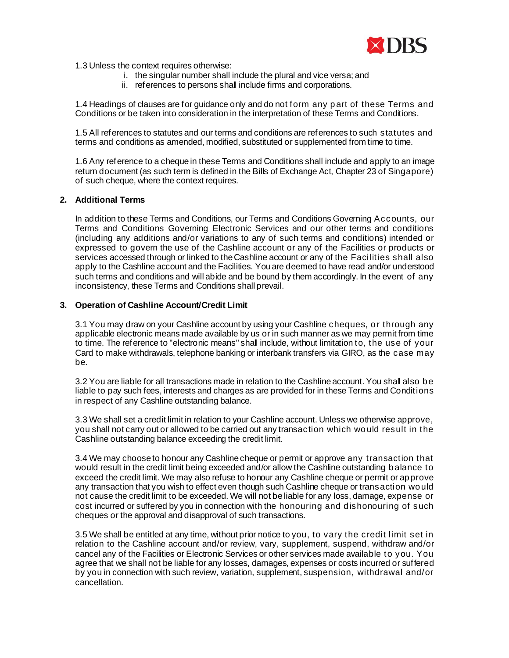

1.3 Unless the context requires otherwise:

- i. the singular number shall include the plural and vice versa; and
- ii. references to persons shall include firms and corporations.

1.4 Headings of clauses are for guidance only and do not form any part of these Terms and Conditions or be taken into consideration in the interpretation of these Terms and Conditions.

1.5 All references to statutes and our terms and conditions are references to such statutes and terms and conditions as amended, modified, substituted or supplemented from time to time.

1.6 Any reference to a cheque in these Terms and Conditions shall include and apply to an image return document (as such term is defined in the Bills of Exchange Act, Chapter 23 of Singapore) of such cheque, where the context requires.

### **2. Additional Terms**

In addition to these Terms and Conditions, our Terms and Conditions Governing Accounts, our Terms and Conditions Governing Electronic Services and our other terms and conditions (including any additions and/or variations to any of such terms and conditions) intended or expressed to govern the use of the Cashline account or any of the Facilities or products or services accessed through or linked to the Cashline account or any of the Facilities shall also apply to the Cashline account and the Facilities. You are deemed to have read and/or understood such terms and conditions and will abide and be bound by them accordingly. In the event of any inconsistency, these Terms and Conditions shall prevail.

### **3. Operation of Cashline Account/Credit Limit**

3.1 You may draw on your Cashline account by using your Cashline cheques, or through any applicable electronic means made available by us or in such manner as we may permit from time to time. The reference to "electronic means" shall include, without limitation to, the use of your Card to make withdrawals, telephone banking or interbank transfers via GIRO, as the case may be.

3.2 You are liable for all transactions made in relation to the Cashline account. You shall also be liable to pay such fees, interests and charges as are provided for in these Terms and Conditions in respect of any Cashline outstanding balance.

3.3 We shall set a credit limit in relation to your Cashline account. Unless we otherwise approve, you shall not carry out or allowed to be carried out any transaction which would result in the Cashline outstanding balance exceeding the credit limit.

3.4 We may choose to honour any Cashline cheque or permit or approve any transaction that would result in the credit limit being exceeded and/or allow the Cashline outstanding balance to exceed the credit limit. We may also refuse to honour any Cashline cheque or permit or approve any transaction that you wish to effect even though such Cashline cheque or transaction would not cause the credit limit to be exceeded. We will not be liable for any loss, damage, expense or cost incurred or suffered by you in connection with the honouring and dishonouring of such cheques or the approval and disapproval of such transactions.

3.5 We shall be entitled at any time, without prior notice to you, to vary the credit limit set in relation to the Cashline account and/or review, vary, supplement, suspend, withdraw and/or cancel any of the Facilities or Electronic Services or other services made available to you. You agree that we shall not be liable for any losses, damages, expenses or costs incurred or suffered by you in connection with such review, variation, supplement, suspension, withdrawal and/or cancellation.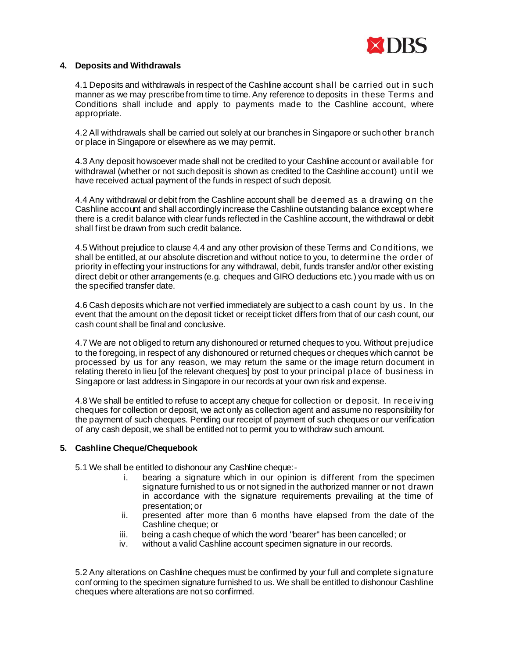

## **4. Deposits and Withdrawals**

4.1 Deposits and withdrawals in respect of the Cashline account shall be carried out in such manner as we may prescribe from time to time. Any reference to deposits in these Terms and Conditions shall include and apply to payments made to the Cashline account, where appropriate.

4.2 All withdrawals shall be carried out solely at our branches in Singapore or such other branch or place in Singapore or elsewhere as we may permit.

4.3 Any deposit howsoever made shall not be credited to your Cashline account or available for withdrawal (whether or not such deposit is shown as credited to the Cashline account) until we have received actual payment of the funds in respect of such deposit.

4.4 Any withdrawal or debit from the Cashline account shall be deemed as a drawing on the Cashline account and shall accordingly increase the Cashline outstanding balance except where there is a credit balance with clear funds reflected in the Cashline account, the withdrawal or debit shall first be drawn from such credit balance.

4.5 Without prejudice to clause 4.4 and any other provision of these Terms and Conditions, we shall be entitled, at our absolute discretion and without notice to you, to determine the order of priority in effecting your instructions for any withdrawal, debit, funds transfer and/or other existing direct debit or other arrangements (e.g. cheques and GIRO deductions etc.) you made with us on the specified transfer date.

4.6 Cash deposits which are not verified immediately are subject to a cash count by us. In the event that the amount on the deposit ticket or receipt ticket differs from that of our cash count, our cash count shall be final and conclusive.

4.7 We are not obliged to return any dishonoured or returned cheques to you. Without prejudice to the foregoing, in respect of any dishonoured or returned cheques or cheques which cannot be processed by us for any reason, we may return the same or the image return document in relating thereto in lieu [of the relevant cheques] by post to your principal place of business in Singapore or last address in Singapore in our records at your own risk and expense.

4.8 We shall be entitled to refuse to accept any cheque for collection or deposit. In receiving cheques for collection or deposit, we act only as collection agent and assume no responsibility for the payment of such cheques. Pending our receipt of payment of such cheques or our verification of any cash deposit, we shall be entitled not to permit you to withdraw such amount.

# **5. Cashline Cheque/Chequebook**

5.1 We shall be entitled to dishonour any Cashline cheque:-

- i. bearing a signature which in our opinion is different from the specimen signature furnished to us or not signed in the authorized manner or not drawn in accordance with the signature requirements prevailing at the time of presentation; or
- ii. presented after more than 6 months have elapsed from the date of the Cashline cheque; or
- iii. being a cash cheque of which the word "bearer" has been cancelled; or
- iv. without a valid Cashline account specimen signature in our records.

5.2 Any alterations on Cashline cheques must be confirmed by your full and complete signature conforming to the specimen signature furnished to us. We shall be entitled to dishonour Cashline cheques where alterations are not so confirmed.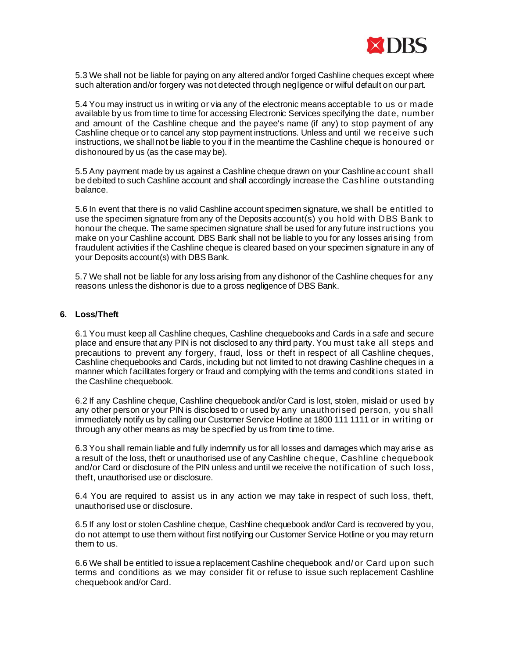

5.3 We shall not be liable for paying on any altered and/or forged Cashline cheques except where such alteration and/or forgery was not detected through negligence or wilful default on our part.

5.4 You may instruct us in writing or via any of the electronic means acceptable to us or made available by us from time to time for accessing Electronic Services specifying the date, number and amount of the Cashline cheque and the payee's name (if any) to stop payment of any Cashline cheque or to cancel any stop payment instructions. Unless and until we receive such instructions, we shall not be liable to you if in the meantime the Cashline cheque is honoured or dishonoured by us (as the case may be).

5.5 Any payment made by us against a Cashline cheque drawn on your Cashline account shall be debited to such Cashline account and shall accordingly increase the Cashline outstanding balance.

5.6 In event that there is no valid Cashline account specimen signature, we shall be entitled to use the specimen signature from any of the Deposits account(s) you hold with DBS Bank to honour the cheque. The same specimen signature shall be used for any future instructions you make on your Cashline account. DBS Bank shall not be liable to you for any losses arising from fraudulent activities if the Cashline cheque is cleared based on your specimen signature in any of your Deposits account(s) with DBS Bank.

5.7 We shall not be liable for any loss arising from any dishonor of the Cashline cheques for any reasons unless the dishonor is due to a gross negligence of DBS Bank.

## **6. Loss/Theft**

6.1 You must keep all Cashline cheques, Cashline chequebooks and Cards in a safe and secure place and ensure that any PIN is not disclosed to any third party. You must take all steps and precautions to prevent any forgery, fraud, loss or theft in respect of all Cashline cheques, Cashline chequebooks and Cards, including but not limited to not drawing Cashline cheques in a manner which facilitates forgery or fraud and complying with the terms and conditions stated in the Cashline chequebook.

6.2 If any Cashline cheque, Cashline chequebook and/or Card is lost, stolen, mislaid or used by any other person or your PIN is disclosed to or used by any unauthorised person, you shall immediately notify us by calling our Customer Service Hotline at 1800 111 1111 or in writing or through any other means as may be specified by us from time to time.

6.3 You shall remain liable and fully indemnify us for all losses and damages which may arise as a result of the loss, theft or unauthorised use of any Cashline cheque, Cashline chequebook and/or Card or disclosure of the PIN unless and until we receive the notification of such loss, theft, unauthorised use or disclosure.

6.4 You are required to assist us in any action we may take in respect of such loss, theft, unauthorised use or disclosure.

6.5 If any lost or stolen Cashline cheque, Cashline chequebook and/or Card is recovered by you, do not attempt to use them without first notifying our Customer Service Hotline or you may return them to us.

6.6 We shall be entitled to issue a replacement Cashline chequebook and/ or Card upon such terms and conditions as we may consider fit or refuse to issue such replacement Cashline chequebook and/or Card.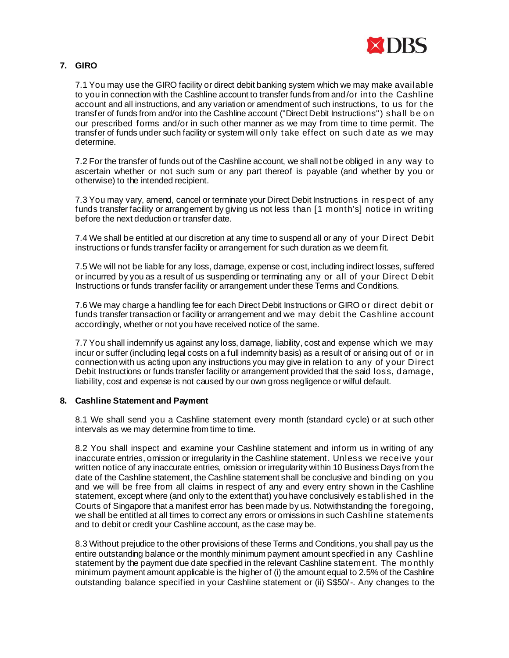

# **7. GIRO**

7.1 You may use the GIRO facility or direct debit banking system which we may make available to you in connection with the Cashline account to transfer funds from and/or into the Cashline account and all instructions, and any variation or amendment of such instructions, to us for the transfer of funds from and/or into the Cashline account ("Direct Debit Instructions") sha ll be on our prescribed forms and/or in such other manner as we may from time to time permit. The transfer of funds under such facility or system will only take effect on such date as we may determine.

7.2 For the transfer of funds out of the Cashline account, we shall not be obliged in any way to ascertain whether or not such sum or any part thereof is payable (and whether by you or otherwise) to the intended recipient.

7.3 You may vary, amend, cancel or terminate your Direct Debit Instructions in resp ect of any funds transfer facility or arrangement by giving us not less than [1 month's] notice in writing before the next deduction or transfer date.

7.4 We shall be entitled at our discretion at any time to suspend all or any of your Direct Debit instructions or funds transfer facility or arrangement for such duration as we deem fit.

7.5 We will not be liable for any loss, damage, expense or cost, including indirect losses, suffered or incurred by you as a result of us suspending or terminating any or all of your Direct Debit Instructions or funds transfer facility or arrangement under these Terms and Conditions.

7.6 We may charge a handling fee for each Direct Debit Instructions or GIRO or direct debit or funds transfer transaction or facility or arrangement and we may debit the Cashline account accordingly, whether or not you have received notice of the same.

7.7 You shall indemnify us against any loss, damage, liability, cost and expense which we may incur or suffer (including legal costs on a full indemnity basis) as a result of or arising out of or in connection with us acting upon any instructions you may give in relation to any of your Direct Debit Instructions or funds transfer facility or arrangement provided that the said loss, damage, liability, cost and expense is not caused by our own gross negligence or wilful default.

## **8. Cashline Statement and Payment**

8.1 We shall send you a Cashline statement every month (standard cycle) or at such other intervals as we may determine from time to time.

8.2 You shall inspect and examine your Cashline statement and inform us in writing of any inaccurate entries, omission or irregularity in the Cashline statement. Unless we receive your written notice of any inaccurate entries, omission or irregularity within 10 Business Days from the date of the Cashline statement, the Cashline statement shall be conclusive and binding on you and we will be free from all claims in respect of any and every entry shown in the Cashline statement, except where (and only to the extent that) you have conclusively established in the Courts of Singapore that a manifest error has been made by us. Notwithstanding the foregoing, we shall be entitled at all times to correct any errors or omissions in such Cashline statements and to debit or credit your Cashline account, as the case may be.

8.3 Without prejudice to the other provisions of these Terms and Conditions, you shall pay us the entire outstanding balance or the monthly minimum payment amount specified in any Cashline statement by the payment due date specified in the relevant Cashline statement. The monthly minimum payment amount applicable is the higher of (i) the amount equal to 2.5% of the Cashline outstanding balance specified in your Cashline statement or (ii) S\$50/-. Any changes to the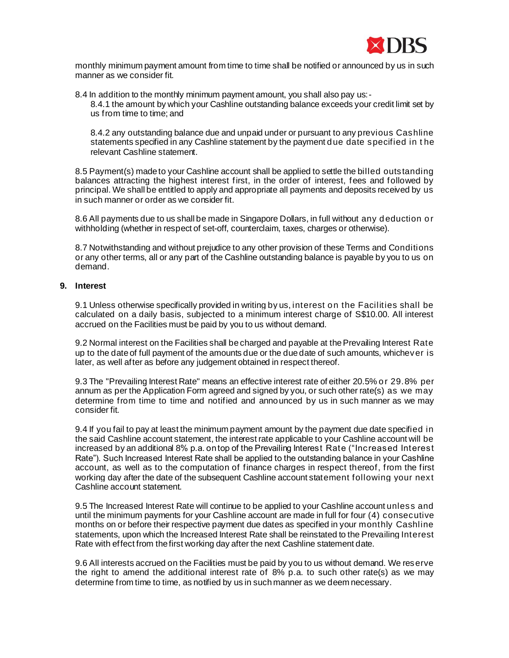

monthly minimum payment amount from time to time shall be notified or announced by us in such manner as we consider fit.

8.4 In addition to the monthly minimum payment amount, you shall also pay us:- 8.4.1 the amount by which your Cashline outstanding balance exceeds your credit limit set by us from time to time; and

8.4.2 any outstanding balance due and unpaid under or pursuant to any previous Cashline statements specified in any Cashline statement by the payment due date specified in t he relevant Cashline statement.

8.5 Payment(s) made to your Cashline account shall be applied to settle the billed outstanding balances attracting the highest interest first, in the order of interest, fees and followed by principal. We shall be entitled to apply and appropriate all payments and deposits received by us in such manner or order as we consider fit.

8.6 All payments due to us shall be made in Singapore Dollars, in full without any deduction or withholding (whether in respect of set-off, counterclaim, taxes, charges or otherwise).

8.7 Notwithstanding and without prejudice to any other provision of these Terms and Conditions or any other terms, all or any part of the Cashline outstanding balance is payable by you to us on demand.

## **9. Interest**

9.1 Unless otherwise specifically provided in writing by us, interest on the Facilities shall be calculated on a daily basis, subjected to a minimum interest charge of S\$10.00. All interest accrued on the Facilities must be paid by you to us without demand.

9.2 Normal interest on the Facilities shall be charged and payable at the Prevailing Interest Rate up to the date of full payment of the amounts due or the due date of such amounts, whichever is later, as well after as before any judgement obtained in respect thereof.

9.3 The "Prevailing Interest Rate" means an effective interest rate of either 20.5% or 29.8% per annum as per the Application Form agreed and signed by you, or such other rate(s) as we may determine from time to time and notified and announced by us in such manner as we may consider fit.

9.4 If you fail to pay at least the minimum payment amount by the payment due date specified in the said Cashline account statement, the interest rate applicable to your Cashline account will be increased by an additional 8% p.a. on top of the Prevailing Interest Rate ("Increased Interest Rate"). Such Increased Interest Rate shall be applied to the outstanding balance in your Cashline account, as well as to the computation of finance charges in respect thereof, from the first working day after the date of the subsequent Cashline account statement following your next Cashline account statement.

9.5 The Increased Interest Rate will continue to be applied to your Cashline account unless and until the minimum payments for your Cashline account are made in full for four (4) consecutive months on or before their respective payment due dates as specified in your monthly Cashline statements, upon which the Increased Interest Rate shall be reinstated to the Prevailing Interest Rate with effect from the first working day after the next Cashline statement date.

9.6 All interests accrued on the Facilities must be paid by you to us without demand. We reserve the right to amend the additional interest rate of 8% p.a. to such other rate(s) as we may determine from time to time, as notified by us in such manner as we deem necessary.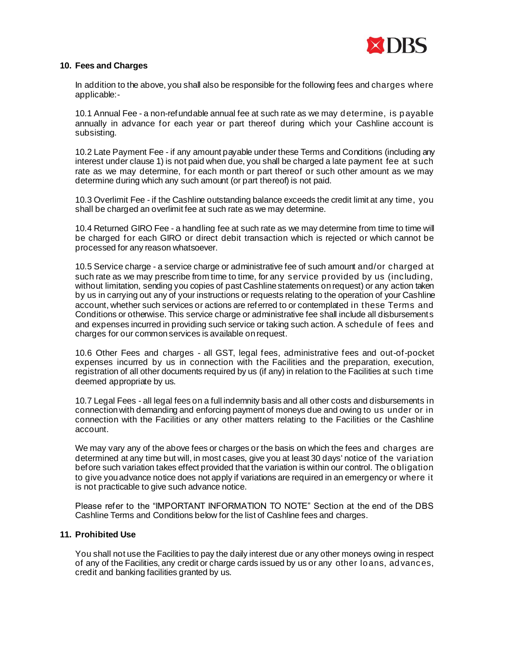

## **10. Fees and Charges**

In addition to the above, you shall also be responsible for the following fees and charges where applicable:-

10.1 Annual Fee - a non-refundable annual fee at such rate as we may determine, is payable annually in advance for each year or part thereof during which your Cashline account is subsisting.

10.2 Late Payment Fee - if any amount payable under these Terms and Conditions (including any interest under clause 1) is not paid when due, you shall be charged a late payment fee at such rate as we may determine, for each month or part thereof or such other amount as we may determine during which any such amount (or part thereof) is not paid.

10.3 Overlimit Fee - if the Cashline outstanding balance exceeds the credit limit at any time, you shall be charged an overlimit fee at such rate as we may determine.

10.4 Returned GIRO Fee - a handling fee at such rate as we may determine from time to time will be charged for each GIRO or direct debit transaction which is rejected or which cannot be processed for any reason whatsoever.

10.5 Service charge - a service charge or administrative fee of such amount and/or charged at such rate as we may prescribe from time to time, for any service provided by us (including, without limitation, sending you copies of past Cashline statements on request) or any action taken by us in carrying out any of your instructions or requests relating to the operation of your Cashline account, whether such services or actions are referred to or contemplated in these Terms and Conditions or otherwise. This service charge or administrative fee shall include all disbursements and expenses incurred in providing such service or taking such action. A schedule of fees and charges for our common services is available on request.

10.6 Other Fees and charges - all GST, legal fees, administrative fees and out-of-pocket expenses incurred by us in connection with the Facilities and the preparation, execution, registration of all other documents required by us (if any) in relation to the Facilities at such time deemed appropriate by us.

10.7 Legal Fees - all legal fees on a full indemnity basis and all other costs and disbursements in connection with demanding and enforcing payment of moneys due and owing to us under or in connection with the Facilities or any other matters relating to the Facilities or the Cashline account.

We may vary any of the above fees or charges or the basis on which the fees and charges are determined at any time but will, in most cases, give you at least 30 days' notice of the variation before such variation takes effect provided that the variation is within our control. The obligation to give you advance notice does not apply if variations are required in an emergency or where it is not practicable to give such advance notice.

Please refer to the "IMPORTANT INFORMATION TO NOTE" Section at the end of the DBS Cashline Terms and Conditions below for the list of Cashline fees and charges.

## **11. Prohibited Use**

You shall not use the Facilities to pay the daily interest due or any other moneys owing in respect of any of the Facilities, any credit or charge cards issued by us or any other loans, advances, credit and banking facilities granted by us.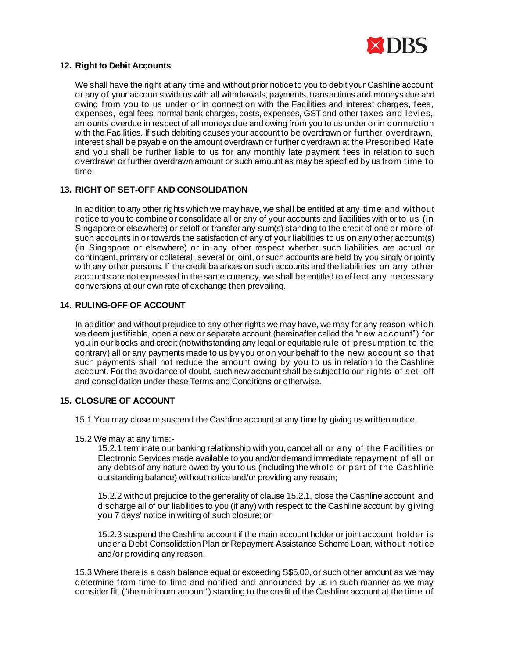

## **12. Right to Debit Accounts**

We shall have the right at any time and without prior notice to you to debit your Cashline account or any of your accounts with us with all withdrawals, payments, transactions and moneys due and owing from you to us under or in connection with the Facilities and interest charges, fees, expenses, legal fees, normal bank charges, costs, expenses, GST and other taxes and levies, amounts overdue in respect of all moneys due and owing from you to us under or in connection with the Facilities. If such debiting causes your account to be overdrawn or further overdrawn, interest shall be payable on the amount overdrawn or further overdrawn at the Prescribed Rate and you shall be further liable to us for any monthly late payment fees in relation to such overdrawn or further overdrawn amount or such amount as may be specified by us from time to time.

# **13. RIGHT OF SET-OFF AND CONSOLIDATION**

In addition to any other rights which we may have, we shall be entitled at any time and without notice to you to combine or consolidate all or any of your accounts and liabilities with or to us (in Singapore or elsewhere) or setoff or transfer any sum(s) standing to the credit of one or more of such accounts in or towards the satisfaction of any of your liabilities to us on any other account(s) (in Singapore or elsewhere) or in any other respect whether such liabilities are actual or contingent, primary or collateral, several or joint, or such accounts are held by you singly or jointly with any other persons. If the credit balances on such accounts and the liabilities on any other accounts are not expressed in the same currency, we shall be entitled to effect any necessary conversions at our own rate of exchange then prevailing.

# **14. RULING-OFF OF ACCOUNT**

In addition and without prejudice to any other rights we may have, we may for any reason which we deem justifiable, open a new or separate account (hereinafter called the "new account") for you in our books and credit (notwithstanding any legal or equitable rule of presumption to the contrary) all or any payments made to us by you or on your behalf to the new account so that such payments shall not reduce the amount owing by you to us in relation to the Cashline account. For the avoidance of doubt, such new account shall be subject to our rights of set -off and consolidation under these Terms and Conditions or otherwise.

# **15. CLOSURE OF ACCOUNT**

- 15.1 You may close or suspend the Cashline account at any time by giving us written notice.
- 15.2 We may at any time:-

15.2.1 terminate our banking relationship with you, cancel all or any of the Facilities or Electronic Services made available to you and/or demand immediate repayment of all or any debts of any nature owed by you to us (including the whole or part of the Cashline outstanding balance) without notice and/or providing any reason;

15.2.2 without prejudice to the generality of clause 15.2.1, close the Cashline account and discharge all of our liabilities to you (if any) with respect to the Cashline account by giving you 7 days' notice in writing of such closure; or

15.2.3 suspend the Cashline account if the main account holder or joint account holder is under a Debt Consolidation Plan or Repayment Assistance Scheme Loan, without notice and/or providing any reason.

15.3 Where there is a cash balance equal or exceeding S\$5.00, or such other amount as we may determine from time to time and notified and announced by us in such manner as we may consider fit, ("the minimum amount") standing to the credit of the Cashline account at the time of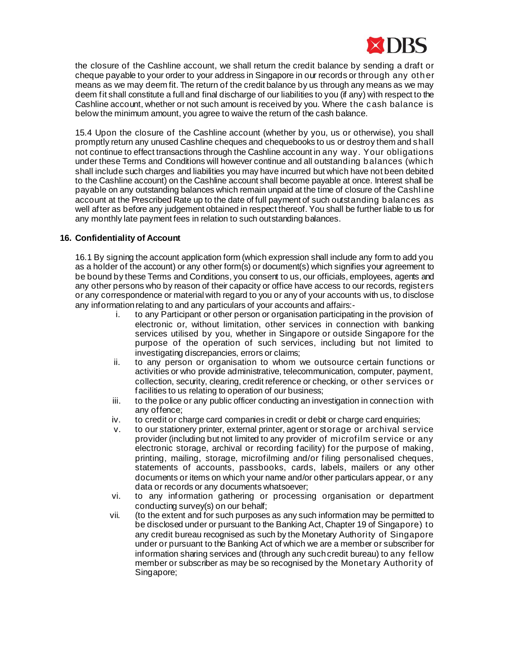

the closure of the Cashline account, we shall return the credit balance by sending a draft or cheque payable to your order to your address in Singapore in our records or through any oth er means as we may deem fit. The return of the credit balance by us through any means as we may deem fit shall constitute a full and final discharge of our liabilities to you (if any) with respect to the Cashline account, whether or not such amount is received by you. Where the cash balance is below the minimum amount, you agree to waive the return of the cash balance.

15.4 Upon the closure of the Cashline account (whether by you, us or otherwise), you shall promptly return any unused Cashline cheques and chequebooks to us or destroy them and shall not continue to effect transactions through the Cashline account in any way. Your obligations under these Terms and Conditions will however continue and all outstanding balances (which shall include such charges and liabilities you may have incurred but which have not been debited to the Cashline account) on the Cashline account shall become payable at once. Interest shall be payable on any outstanding balances which remain unpaid at the time of closure of the Cashline account at the Prescribed Rate up to the date of full payment of such outstanding balances as well after as before any judgement obtained in respect thereof. You shall be further liable to us for any monthly late payment fees in relation to such outstanding balances.

# **16. Confidentiality of Account**

16.1 By signing the account application form (which expression shall include any form to add you as a holder of the account) or any other form(s) or document(s) which signifies your agreement to be bound by these Terms and Conditions, you consent to us, our officials, employees, agents and any other persons who by reason of their capacity or office have access to our records, registers or any correspondence or material with regard to you or any of your accounts with us, to disclose any information relating to and any particulars of your accounts and affairs:-

- i. to any Participant or other person or organisation participating in the provision of electronic or, without limitation, other services in connection with banking services utilised by you, whether in Singapore or outside Singapore for the purpose of the operation of such services, including but not limited to investigating discrepancies, errors or claims;
- ii. to any person or organisation to whom we outsource certain functions or activities or who provide administrative, telecommunication, computer, payment, collection, security, clearing, credit reference or checking, or other services or facilities to us relating to operation of our business;
- iii. to the police or any public officer conducting an investigation in connection with any offence;
- iv. to credit or charge card companies in credit or debit or charge card enquiries;
- v. to our stationery printer, external printer, agent or storage or archival service provider (including but not limited to any provider of microfilm service or any electronic storage, archival or recording facility) for the purpose of making, printing, mailing, storage, microfilming and/or filing personalised cheques, statements of accounts, passbooks, cards, labels, mailers or any other documents or items on which your name and/or other particulars appear, or any data or records or any documents whatsoever;
- vi. to any information gathering or processing organisation or department conducting survey(s) on our behalf;
- vii. (to the extent and for such purposes as any such information may be permitted to be disclosed under or pursuant to the Banking Act, Chapter 19 of Singapore) to any credit bureau recognised as such by the Monetary Authority of Singapore under or pursuant to the Banking Act of which we are a member or subscriber for information sharing services and (through any such credit bureau) to any fellow member or subscriber as may be so recognised by the Monetary Authority of Singapore;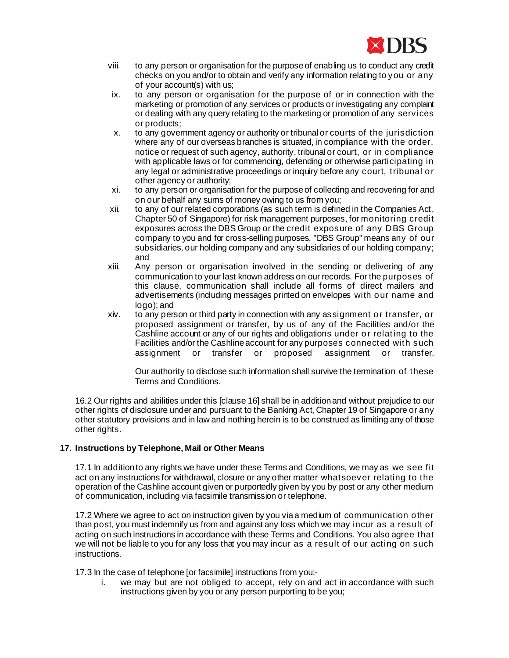

- viii. to any person or organisation for the purpose of enabling us to conduct any credit checks on you and/or to obtain and verify any information relating to you or any of your account(s) with us;
- ix. to any person or organisation for the purpose of or in connection with the marketing or promotion of any services or products or investigating any complaint or dealing with any query relating to the marketing or promotion of any services or products;
- x. to any government agency or authority or tribunal or courts of the jurisdiction where any of our overseas branches is situated, in compliance with the order, notice or request of such agency, authority, tribunal or court, or in compliance with applicable laws or for commencing, defending or otherwise participating in any legal or administrative proceedings or inquiry before any court, tribunal or other agency or authority;
- xi. to any person or organisation for the purpose of collecting and recovering for and on our behalf any sums of money owing to us from you;
- xii. to any of our related corporations (as such term is defined in the Companies Act, Chapter 50 of Singapore) for risk management purposes, for monitoring credit exposures across the DBS Group or the credit exposure of any DBS Group company to you and for cross-selling purposes. "DBS Group" means any of our subsidiaries, our holding company and any subsidiaries of our holding company; and
- xiii. Any person or organisation involved in the sending or delivering of any communication to your last known address on our records. For the purposes of this clause, communication shall include all forms of direct mailers and advertisements (including messages printed on envelopes with our name and logo); and
- xiv. to any person or third party in connection with any assignment or transfer, or proposed assignment or transfer, by us of any of the Facilities and/or the Cashline account or any of our rights and obligations under or relating to the Facilities and/or the Cashline account for any purposes connected with such assignment or transfer or proposed assignment or transfer.

Our authority to disclose such information shall survive the termination of these Terms and Conditions.

16.2 Our rights and abilities under this [clause 16] shall be in addition and without prejudice to our other rights of disclosure under and pursuant to the Banking Act, Chapter 19 of Singapore or any other statutory provisions and in law and nothing herein is to be construed as limiting any of those other rights.

# **17. Instructions by Telephone, Mail or Other Means**

17.1 In addition to any rights we have under these Terms and Conditions, we may as we see fit act on any instructions for withdrawal, closure or any other matter whatsoever relating to the operation of the Cashline account given or purportedly given by you by post or any other medium of communication, including via facsimile transmission or telephone.

17.2 Where we agree to act on instruction given by you via a medium of communication other than post, you must indemnify us from and against any loss which we may incur as a result of acting on such instructions in accordance with these Terms and Conditions. You also agree that we will not be liable to you for any loss that you may incur as a result of our acting on such instructions.

17.3 In the case of telephone [or facsimile] instructions from you:-

i. we may but are not obliged to accept, rely on and act in accordance with such instructions given by you or any person purporting to be you;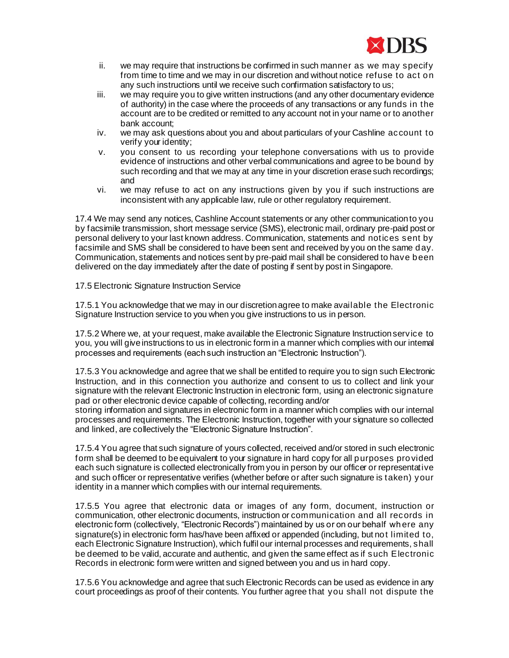

- ii. we may require that instructions be confirmed in such manner as we may specify from time to time and we may in our discretion and without notice refuse to act on any such instructions until we receive such confirmation satisfactory to us;
- iii. we may require you to give written instructions (and any other documentary evidence of authority) in the case where the proceeds of any transactions or any funds in the account are to be credited or remitted to any account not in your name or to another bank account;
- iv. we may ask questions about you and about particulars of your Cashline account to verify your identity;
- v. you consent to us recording your telephone conversations with us to provide evidence of instructions and other verbal communications and agree to be bound by such recording and that we may at any time in your discretion erase such recordings; and
- vi. we may refuse to act on any instructions given by you if such instructions are inconsistent with any applicable law, rule or other regulatory requirement.

17.4 We may send any notices, Cashline Account statements or any other communication to you by facsimile transmission, short message service (SMS), electronic mail, ordinary pre-paid post or personal delivery to your last known address. Communication, statements and notices sent by facsimile and SMS shall be considered to have been sent and received by you on the same day. Communication, statements and notices sent by pre-paid mail shall be considered to have been delivered on the day immediately after the date of posting if sent by post in Singapore.

## 17.5 Electronic Signature Instruction Service

17.5.1 You acknowledge that we may in our discretion agree to make available the Electronic Signature Instruction service to you when you give instructions to us in person.

17.5.2 Where we, at your request, make available the Electronic Signature Instruction service to you, you will give instructions to us in electronic form in a manner which complies with our internal processes and requirements (each such instruction an "Electronic Instruction").

17.5.3 You acknowledge and agree that we shall be entitled to require you to sign such Electronic Instruction, and in this connection you authorize and consent to us to collect and link your signature with the relevant Electronic Instruction in electronic form, using an electronic signature pad or other electronic device capable of collecting, recording and/or

storing information and signatures in electronic form in a manner which complies with our internal processes and requirements. The Electronic Instruction, together with your signature so collected and linked, are collectively the "Electronic Signature Instruction".

17.5.4 You agree that such signature of yours collected, received and/or stored in such electronic form shall be deemed to be equivalent to your signature in hard copy for all purposes provided each such signature is collected electronically from you in person by our officer or representative and such officer or representative verifies (whether before or after such signature is taken) your identity in a manner which complies with our internal requirements.

17.5.5 You agree that electronic data or images of any form, document, instruction or communication, other electronic documents, instruction or communication and all records in electronic form (collectively, "Electronic Records") maintained by us or on our behalf wh ere any signature(s) in electronic form has/have been affixed or appended (including, but not limited to, each Electronic Signature Instruction), which fulfil our internal processes and requirements, shall be deemed to be valid, accurate and authentic, and given the same effect as if such Electronic Records in electronic form were written and signed between you and us in hard copy.

17.5.6 You acknowledge and agree that such Electronic Records can be used as evidence in any court proceedings as proof of their contents. You further agree that you shall not dispute the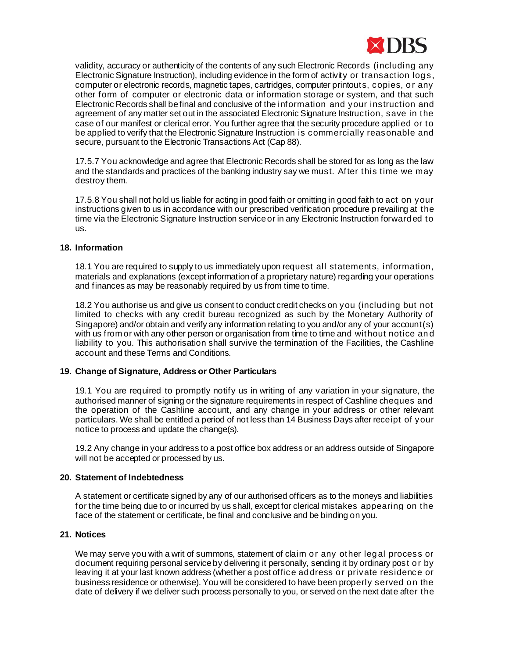

validity, accuracy or authenticity of the contents of any such Electronic Records (including any Electronic Signature Instruction), including evidence in the form of activity or transaction logs, computer or electronic records, magnetic tapes, cartridges, computer printouts, copies, or any other form of computer or electronic data or information storage or system, and that such Electronic Records shall be final and conclusive of the information and your instruction and agreement of any matter set out in the associated Electronic Signature Instruction, save in the case of our manifest or clerical error. You further agree that the security procedure applied or to be applied to verify that the Electronic Signature Instruction is commercially reasonable and secure, pursuant to the Electronic Transactions Act (Cap 88).

17.5.7 You acknowledge and agree that Electronic Records shall be stored for as long as the law and the standards and practices of the banking industry say we must. After this time we may destroy them.

17.5.8 You shall not hold us liable for acting in good faith or omitting in good faith to act on your instructions given to us in accordance with our prescribed verification procedure prevailing at the time via the Electronic Signature Instruction service or in any Electronic Instruction forwarded to us.

### **18. Information**

18.1 You are required to supply to us immediately upon request all statements, information, materials and explanations (except information of a proprietary nature) regarding your operations and finances as may be reasonably required by us from time to time.

18.2 You authorise us and give us consent to conduct credit checks on you (including but not limited to checks with any credit bureau recognized as such by the Monetary Authority of Singapore) and/or obtain and verify any information relating to you and/or any of your account(s) with us from or with any other person or organisation from time to time and without notice an d liability to you. This authorisation shall survive the termination of the Facilities, the Cashline account and these Terms and Conditions.

## **19. Change of Signature, Address or Other Particulars**

19.1 You are required to promptly notify us in writing of any variation in your signature, the authorised manner of signing or the signature requirements in respect of Cashline cheques and the operation of the Cashline account, and any change in your address or other relevant particulars. We shall be entitled a period of not less than 14 Business Days after receipt of your notice to process and update the change(s).

19.2 Any change in your address to a post office box address or an address outside of Singapore will not be accepted or processed by us.

## **20. Statement of Indebtedness**

A statement or certificate signed by any of our authorised officers as to the moneys and liabilities for the time being due to or incurred by us shall, except for clerical mistakes appearing on the face of the statement or certificate, be final and conclusive and be binding on you.

# **21. Notices**

We may serve you with a writ of summons, statement of claim or any other legal process or document requiring personal service by delivering it personally, sending it by ordinary post or by leaving it at your last known address (whether a post office address or private residence or business residence or otherwise). You will be considered to have been properly served on the date of delivery if we deliver such process personally to you, or served on the next date after the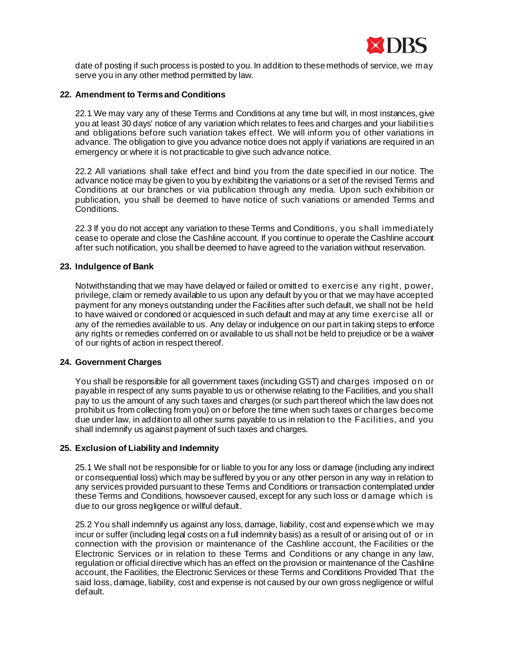

date of posting if such process is posted to you. In addition to these methods of service, we may serve you in any other method permitted by law.

### **22. Amendment to Terms and Conditions**

22.1 We may vary any of these Terms and Conditions at any time but will, in most instances, give you at least 30 days' notice of any variation which relates to fees and charges and your liabilities and obligations before such variation takes effect. We will inform you of other variations in advance. The obligation to give you advance notice does not apply if variations are required in an emergency or where it is not practicable to give such advance notice.

22.2 All variations shall take effect and bind you from the date specified in our notice. The advance notice may be given to you by exhibiting the variations or a set of the revised Terms and Conditions at our branches or via publication through any media. Upon such exhibition or publication, you shall be deemed to have notice of such variations or amended Terms and Conditions.

22.3 If you do not accept any variation to these Terms and Conditions, you shall immediately cease to operate and close the Cashline account. If you continue to operate the Cashline account after such notification, you shall be deemed to have agreed to the variation without reservation.

## **23. Indulgence of Bank**

Notwithstanding that we may have delayed or failed or omitted to exercise any right, power, privilege, claim or remedy available to us upon any default by you or that we may have accepted payment for any moneys outstanding under the Facilities after such default, we shall not be held to have waived or condoned or acquiesced in such default and may at any time exercise all or any of the remedies available to us. Any delay or indulgence on our part in taking steps to enforce any rights or remedies conferred on or available to us shall not be held to prejudice or be a waiver of our rights of action in respect thereof.

#### **24. Government Charges**

You shall be responsible for all government taxes (including GST) and charges imposed on or payable in respect of any sums payable to us or otherwise relating to the Facilities, and you shall pay to us the amount of any such taxes and charges (or such part thereof which the law does not prohibit us from collecting from you) on or before the time when such taxes or charges become due under law, in addition to all other sums payable to us in relation to the Facilities, and you shall indemnify us against payment of such taxes and charges.

# **25. Exclusion of Liability and Indemnity**

25.1 We shall not be responsible for or liable to you for any loss or damage (including any indirect or consequential loss) which may be suffered by you or any other person in any way in relation to any services provided pursuant to these Terms and Conditions or transaction contemplated under these Terms and Conditions, howsoever caused, except for any such loss or damage which is due to our gross negligence or willful default.

25.2 You shall indemnify us against any loss, damage, liability, cost and expense which we may incur or suffer (including legal costs on a full indemnity basis) as a result of or arising out of or in connection with the provision or maintenance of the Cashline account, the Facilities or the Electronic Services or in relation to these Terms and Conditions or any change in any law, regulation or official directive which has an effect on the provision or maintenance of the Cashline account, the Facilities, the Electronic Services or these Terms and Conditions Provided That the said loss, damage, liability, cost and expense is not caused by our own gross negligence or wilful default.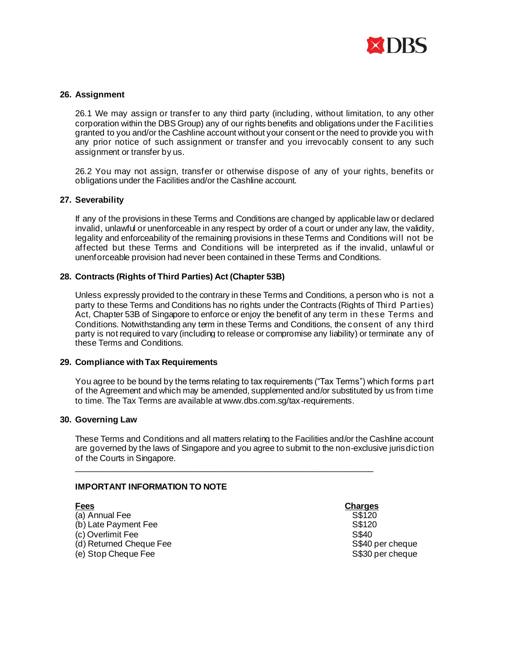

## **26. Assignment**

26.1 We may assign or transfer to any third party (including, without limitation, to any other corporation within the DBS Group) any of our rights benefits and obligations under the Facilities granted to you and/or the Cashline account without your consent or the need to provide you with any prior notice of such assignment or transfer and you irrevocably consent to any such assignment or transfer by us.

26.2 You may not assign, transfer or otherwise dispose of any of your rights, benefits or obligations under the Facilities and/or the Cashline account.

## **27. Severability**

If any of the provisions in these Terms and Conditions are changed by applicable law or declared invalid, unlawful or unenforceable in any respect by order of a court or under any law, the validity, legality and enforceability of the remaining provisions in these Terms and Conditions will not be affected but these Terms and Conditions will be interpreted as if the invalid, unlawful or unenforceable provision had never been contained in these Terms and Conditions.

## **28. Contracts (Rights of Third Parties) Act (Chapter 53B)**

Unless expressly provided to the contrary in these Terms and Conditions, a person who is not a party to these Terms and Conditions has no rights under the Contracts (Rights of Third Parties) Act, Chapter 53B of Singapore to enforce or enjoy the benefit of any term in these Terms and Conditions. Notwithstanding any term in these Terms and Conditions, the consent of any third party is not required to vary (including to release or compromise any liability) or terminate any of these Terms and Conditions.

## **29. Compliance with Tax Requirements**

You agree to be bound by the terms relating to tax requirements ("Tax Terms") which forms part of the Agreement and which may be amended, supplemented and/or substituted by us from time to time. The Tax Terms are available at www.dbs.com.sg/tax-requirements.

## **30. Governing Law**

These Terms and Conditions and all matters relating to the Facilities and/or the Cashline account are governed by the laws of Singapore and you agree to submit to the non-exclusive jurisdiction of the Courts in Singapore.

\_\_\_\_\_\_\_\_\_\_\_\_\_\_\_\_\_\_\_\_\_\_\_\_\_\_\_\_\_\_\_\_\_\_\_\_\_\_\_\_\_\_\_\_\_\_\_\_\_\_\_\_\_\_\_\_\_\_\_\_\_\_\_\_

## **IMPORTANT INFORMATION TO NOTE**

- (a) Annual Fee S\$120<br>(b) Late Payment Fee S\$120 (b) Late Payment Fee (c) Overlimit Fee S\$40
- (e) Stop Cheque Fee

# **Fees Charges**

(d) Returned Cheque Fee S\$40 per cheque<br>
(e) Stop Cheque Fee S\$30 per cheque